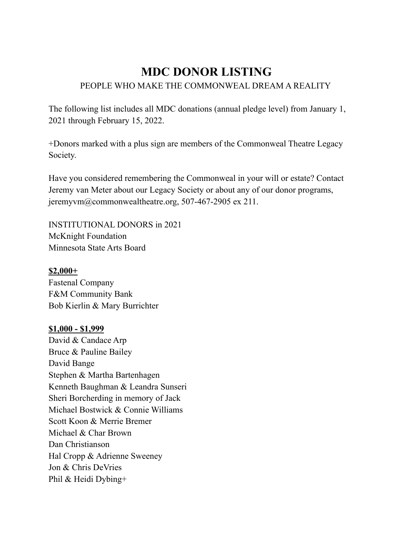# **MDC DONOR LISTING**

## PEOPLE WHO MAKE THE COMMONWEAL DREAM A REALITY

The following list includes all MDC donations (annual pledge level) from January 1, 2021 through February 15, 2022.

+Donors marked with a plus sign are members of the Commonweal Theatre Legacy Society.

Have you considered remembering the Commonweal in your will or estate? Contact Jeremy van Meter about our Legacy Society or about any of our donor programs, jeremyvm@commonwealtheatre.org, 507-467-2905 ex 211.

INSTITUTIONAL DONORS in 2021 McKnight Foundation Minnesota State Arts Board

**\$2,000+**

Fastenal Company F&M Community Bank Bob Kierlin & Mary Burrichter

### **\$1,000 - \$1,999**

David & Candace Arp Bruce & Pauline Bailey David Bange Stephen & Martha Bartenhagen Kenneth Baughman & Leandra Sunseri Sheri Borcherding in memory of Jack Michael Bostwick & Connie Williams Scott Koon & Merrie Bremer Michael & Char Brown Dan Christianson Hal Cropp & Adrienne Sweeney Jon & Chris DeVries Phil & Heidi Dybing+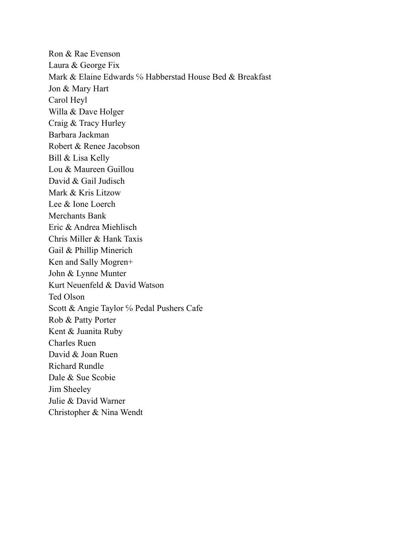Ron & Rae Evenson Laura & George Fix Mark & Elaine Edwards % Habberstad House Bed & Breakfast Jon & Mary Hart Carol Heyl Willa & Dave Holger Craig & Tracy Hurley Barbara Jackman Robert & Renee Jacobson Bill & Lisa Kelly Lou & Maureen Guillou David & Gail Judisch Mark & Kris Litzow Lee & Ione Loerch Merchants Bank Eric & Andrea Miehlisch Chris Miller & Hank Taxis Gail & Phillip Minerich Ken and Sally Mogren+ John & Lynne Munter Kurt Neuenfeld & David Watson Ted Olson Scott & Angie Taylor ℅ Pedal Pushers Cafe Rob & Patty Porter Kent & Juanita Ruby Charles Ruen David & Joan Ruen Richard Rundle Dale & Sue Scobie Jim Sheeley Julie & David Warner Christopher & Nina Wendt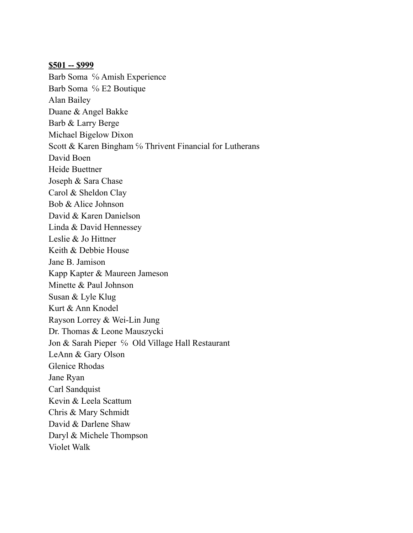**\$501 -- \$999** Barb Soma % Amish Experience Barb Soma ℅ E2 Boutique Alan Bailey Duane & Angel Bakke Barb & Larry Berge Michael Bigelow Dixon Scott & Karen Bingham  $%$  Thrivent Financial for Lutherans David Boen Heide Buettner Joseph & Sara Chase Carol & Sheldon Clay Bob & Alice Johnson David & Karen Danielson Linda & David Hennessey Leslie & Jo Hittner Keith & Debbie House Jane B. Jamison Kapp Kapter & Maureen Jameson Minette & Paul Johnson Susan & Lyle Klug Kurt & Ann Knodel Rayson Lorrey & Wei-Lin Jung Dr. Thomas & Leone Mauszycki Jon & Sarah Pieper % Old Village Hall Restaurant LeAnn & Gary Olson Glenice Rhodas Jane Ryan Carl Sandquist Kevin & Leela Scattum Chris & Mary Schmidt David & Darlene Shaw Daryl & Michele Thompson Violet Walk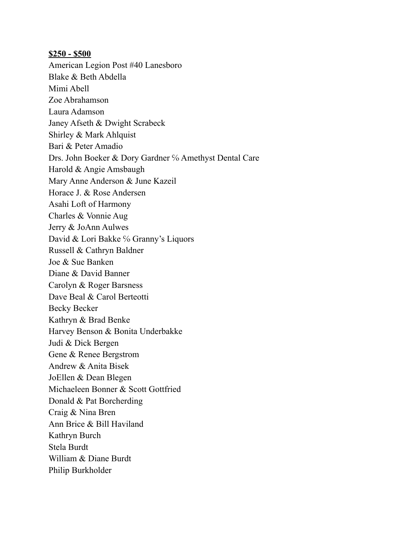#### **\$250 - \$500**

American Legion Post #40 Lanesboro Blake & Beth Abdella Mimi Abell Zoe Abrahamson Laura Adamson Janey Afseth & Dwight Scrabeck Shirley & Mark Ahlquist Bari & Peter Amadio Drs. John Boeker & Dory Gardner ℅ Amethyst Dental Care Harold & Angie Amsbaugh Mary Anne Anderson & June Kazeil Horace J. & Rose Andersen Asahi Loft of Harmony Charles & Vonnie Aug Jerry & JoAnn Aulwes David & Lori Bakke <sup>‰</sup> Granny's Liquors Russell & Cathryn Baldner Joe & Sue Banken Diane & David Banner Carolyn & Roger Barsness Dave Beal & Carol Berteotti Becky Becker Kathryn & Brad Benke Harvey Benson & Bonita Underbakke Judi & Dick Bergen Gene & Renee Bergstrom Andrew & Anita Bisek JoEllen & Dean Blegen Michaeleen Bonner & Scott Gottfried Donald & Pat Borcherding Craig & Nina Bren Ann Brice & Bill Haviland Kathryn Burch Stela Burdt William & Diane Burdt Philip Burkholder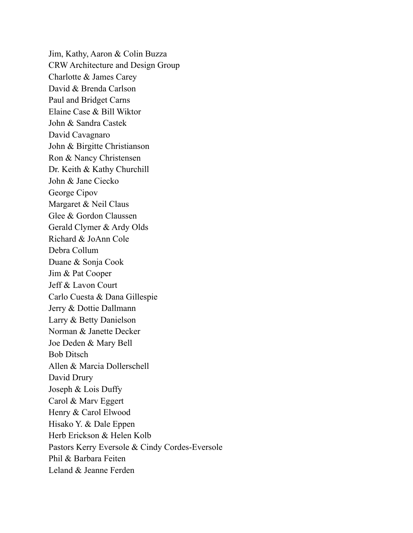Jim, Kathy, Aaron & Colin Buzza CRW Architecture and Design Group Charlotte & James Carey David & Brenda Carlson Paul and Bridget Carns Elaine Case & Bill Wiktor John & Sandra Castek David Cavagnaro John & Birgitte Christianson Ron & Nancy Christensen Dr. Keith & Kathy Churchill John & Jane Ciecko George Cipov Margaret & Neil Claus Glee & Gordon Claussen Gerald Clymer & Ardy Olds Richard & JoAnn Cole Debra Collum Duane & Sonja Cook Jim & Pat Cooper Jeff & Lavon Court Carlo Cuesta & Dana Gillespie Jerry & Dottie Dallmann Larry & Betty Danielson Norman & Janette Decker Joe Deden & Mary Bell Bob Ditsch Allen & Marcia Dollerschell David Drury Joseph & Lois Duffy Carol & Marv Eggert Henry & Carol Elwood Hisako Y. & Dale Eppen Herb Erickson & Helen Kolb Pastors Kerry Eversole & Cindy Cordes-Eversole Phil & Barbara Feiten Leland & Jeanne Ferden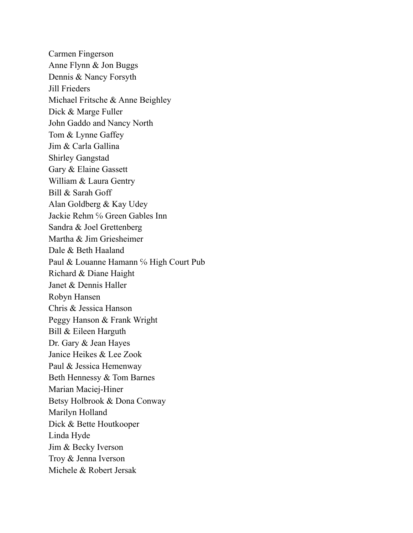Carmen Fingerson Anne Flynn & Jon Buggs Dennis & Nancy Forsyth Jill Frieders Michael Fritsche & Anne Beighley Dick & Marge Fuller John Gaddo and Nancy North Tom & Lynne Gaffey Jim & Carla Gallina Shirley Gangstad Gary & Elaine Gassett William & Laura Gentry Bill & Sarah Goff Alan Goldberg & Kay Udey Jackie Rehm ℅ Green Gables Inn Sandra & Joel Grettenberg Martha & Jim Griesheimer Dale & Beth Haaland Paul & Louanne Hamann ℅ High Court Pub Richard & Diane Haight Janet & Dennis Haller Robyn Hansen Chris & Jessica Hanson Peggy Hanson & Frank Wright Bill & Eileen Harguth Dr. Gary & Jean Hayes Janice Heikes & Lee Zook Paul & Jessica Hemenway Beth Hennessy & Tom Barnes Marian Maciej-Hiner Betsy Holbrook & Dona Conway Marilyn Holland Dick & Bette Houtkooper Linda Hyde Jim & Becky Iverson Troy & Jenna Iverson Michele & Robert Jersak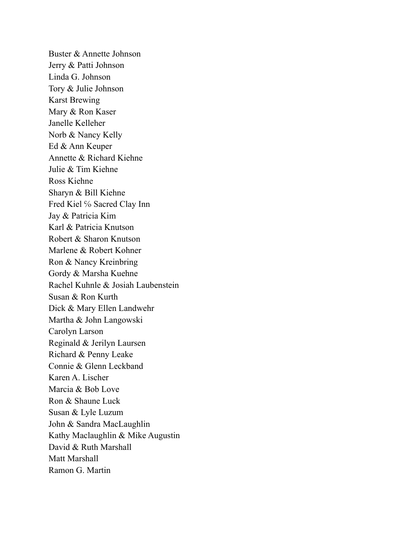Buster & Annette Johnson Jerry & Patti Johnson Linda G. Johnson Tory & Julie Johnson Karst Brewing Mary & Ron Kaser Janelle Kelleher Norb & Nancy Kelly Ed & Ann Keuper Annette & Richard Kiehne Julie & Tim Kiehne Ross Kiehne Sharyn & Bill Kiehne Fred Kiel % Sacred Clay Inn Jay & Patricia Kim Karl & Patricia Knutson Robert & Sharon Knutson Marlene & Robert Kohner Ron & Nancy Kreinbring Gordy & Marsha Kuehne Rachel Kuhnle & Josiah Laubenstein Susan & Ron Kurth Dick & Mary Ellen Landwehr Martha & John Langowski Carolyn Larson Reginald & Jerilyn Laursen Richard & Penny Leake Connie & Glenn Leckband Karen A. Lischer Marcia & Bob Love Ron & Shaune Luck Susan & Lyle Luzum John & Sandra MacLaughlin Kathy Maclaughlin & Mike Augustin David & Ruth Marshall Matt Marshall Ramon G. Martin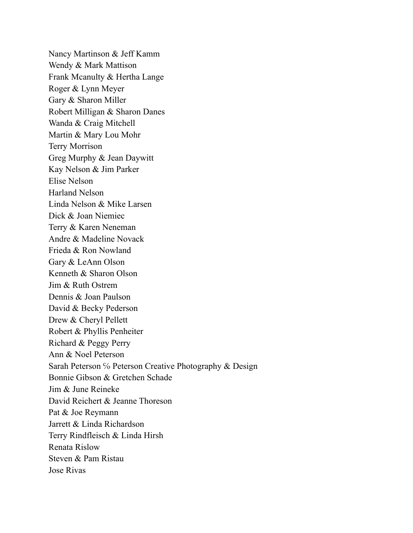Nancy Martinson & Jeff Kamm Wendy & Mark Mattison Frank Mcanulty & Hertha Lange Roger & Lynn Meyer Gary & Sharon Miller Robert Milligan & Sharon Danes Wanda & Craig Mitchell Martin & Mary Lou Mohr Terry Morrison Greg Murphy & Jean Daywitt Kay Nelson & Jim Parker Elise Nelson Harland Nelson Linda Nelson & Mike Larsen Dick & Joan Niemiec Terry & Karen Neneman Andre & Madeline Novack Frieda & Ron Nowland Gary & LeAnn Olson Kenneth & Sharon Olson Jim & Ruth Ostrem Dennis & Joan Paulson David & Becky Pederson Drew & Cheryl Pellett Robert & Phyllis Penheiter Richard & Peggy Perry Ann & Noel Peterson Sarah Peterson % Peterson Creative Photography & Design Bonnie Gibson & Gretchen Schade Jim & June Reineke David Reichert & Jeanne Thoreson Pat & Joe Reymann Jarrett & Linda Richardson Terry Rindfleisch & Linda Hirsh Renata Rislow Steven & Pam Ristau Jose Rivas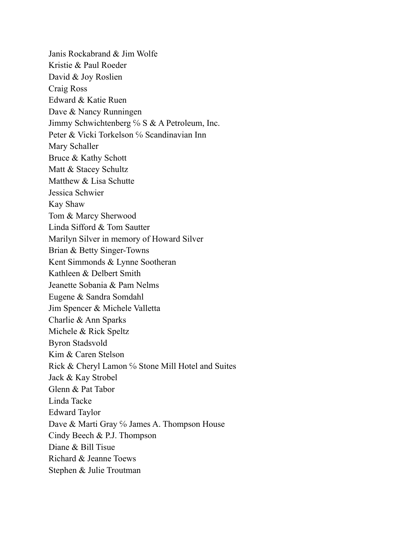Janis Rockabrand & Jim Wolfe Kristie & Paul Roeder David & Joy Roslien Craig Ross Edward & Katie Ruen Dave & Nancy Runningen Jimmy Schwichtenberg ℅ S & A Petroleum, Inc. Peter & Vicki Torkelson ℅ Scandinavian Inn Mary Schaller Bruce & Kathy Schott Matt & Stacey Schultz Matthew & Lisa Schutte Jessica Schwier Kay Shaw Tom & Marcy Sherwood Linda Sifford & Tom Sautter Marilyn Silver in memory of Howard Silver Brian & Betty Singer-Towns Kent Simmonds & Lynne Sootheran Kathleen & Delbert Smith Jeanette Sobania & Pam Nelms Eugene & Sandra Somdahl Jim Spencer & Michele Valletta Charlie & Ann Sparks Michele & Rick Speltz Byron Stadsvold Kim & Caren Stelson Rick & Cheryl Lamon ℅ Stone Mill Hotel and Suites Jack & Kay Strobel Glenn & Pat Tabor Linda Tacke Edward Taylor Dave & Marti Gray <sup>‰</sup> James A. Thompson House Cindy Beech & P.J. Thompson Diane & Bill Tisue Richard & Jeanne Toews Stephen & Julie Troutman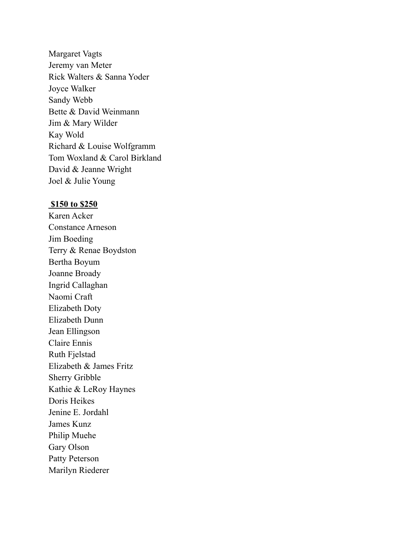Margaret Vagts Jeremy van Meter Rick Walters & Sanna Yoder Joyce Walker Sandy Webb Bette & David Weinmann Jim & Mary Wilder Kay Wold Richard & Louise Wolfgramm Tom Woxland & Carol Birkland David & Jeanne Wright Joel & Julie Young

#### **\$150 to \$250**

Karen Acker Constance Arneson Jim Boeding Terry & Renae Boydston Bertha Boyum Joanne Broady Ingrid Callaghan Naomi Craft Elizabeth Doty Elizabeth Dunn Jean Ellingson Claire Ennis Ruth Fjelstad Elizabeth & James Fritz Sherry Gribble Kathie & LeRoy Haynes Doris Heikes Jenine E. Jordahl James Kunz Philip Muehe Gary Olson Patty Peterson Marilyn Riederer